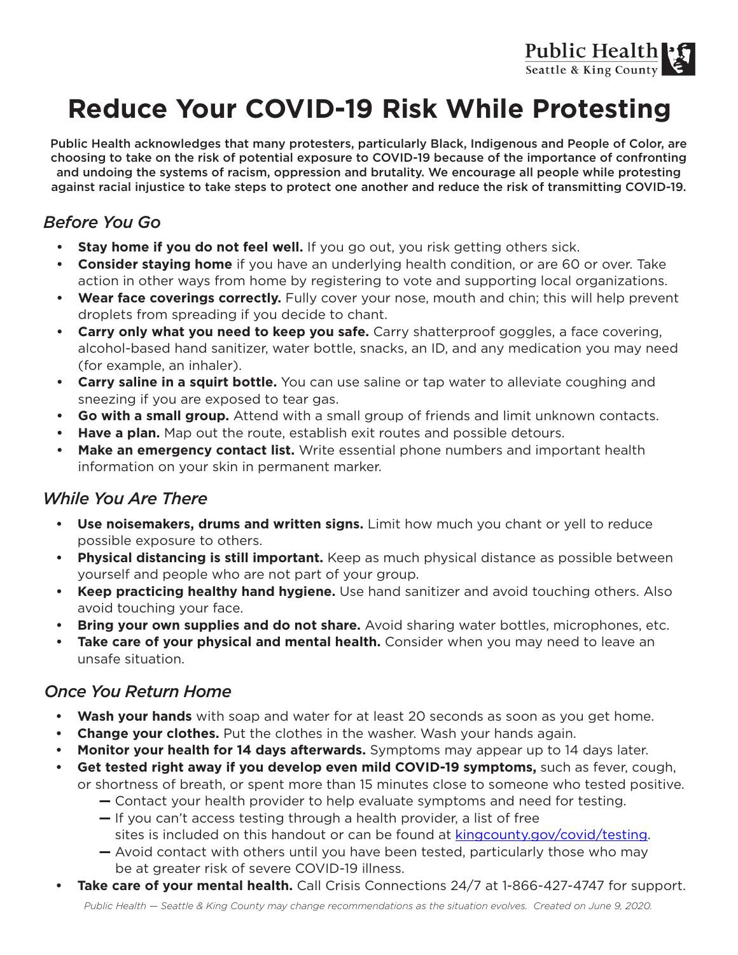

## **Reduce Your COVID-19 Risk While Protesting**

Public Health acknowledges that many protesters, particularly Black, Indigenous and People of Color, are choosing to take on the risk of potential exposure to COVID-19 because of the importance of confronting and undoing the systems of racism, oppression and brutality. We encourage all people while protesting against racial injustice to take steps to protect one another and reduce the risk of transmitting COVID-19.

### *Before You Go*

- **• Stay home if you do not feel well.** If you go out, you risk getting others sick.
- **• Consider staying home** if you have an underlying health condition, or are 60 or over. Take action in other ways from home by registering to vote and supporting local organizations.
- Wear face coverings correctly. Fully cover your nose, mouth and chin; this will help prevent droplets from spreading if you decide to chant.
- **• Carry only what you need to keep you safe.** Carry shatterproof goggles, a face covering, alcohol-based hand sanitizer, water bottle, snacks, an ID, and any medication you may need (for example, an inhaler).
- **• Carry saline in a squirt bottle.** You can use saline or tap water to alleviate coughing and sneezing if you are exposed to tear gas.
- **• Go with a small group.** Attend with a small group of friends and limit unknown contacts.
- **• Have a plan.** Map out the route, establish exit routes and possible detours.
- **• Make an emergency contact list.** Write essential phone numbers and important health information on your skin in permanent marker.

#### *While You Are There*

- **• Use noisemakers, drums and written signs.** Limit how much you chant or yell to reduce possible exposure to others.
- **• Physical distancing is still important.** Keep as much physical distance as possible between yourself and people who are not part of your group.
- **• Keep practicing healthy hand hygiene.** Use hand sanitizer and avoid touching others. Also avoid touching your face.
- **Bring your own supplies and do not share.** Avoid sharing water bottles, microphones, etc.
- **• Take care of your physical and mental health.** Consider when you may need to leave an unsafe situation.

#### *Once You Return Home*

- **• Wash your hands** with soap and water for at least 20 seconds as soon as you get home.
- **• Change your clothes.** Put the clothes in the washer. Wash your hands again.
- **• Monitor your health for 14 days afterwards.** Symptoms may appear up to 14 days later.
- **• Get tested right away if you develop even mild COVID-19 symptoms,** such as fever, cough, or shortness of breath, or spent more than 15 minutes close to someone who tested positive.
	- Contact your health provider to help evaluate symptoms and need for testing.
	- If you can't access testing through a health provider, a list of free sites is included on this handout or can be found at kingcounty.gov/covid/testing.
	- Avoid contact with others until you have been tested, particularly those who may be at greater risk of severe COVID-19 illness.
- **Take care of your mental health.** Call Crisis Connections 24/7 at 1-866-427-4747 for support.